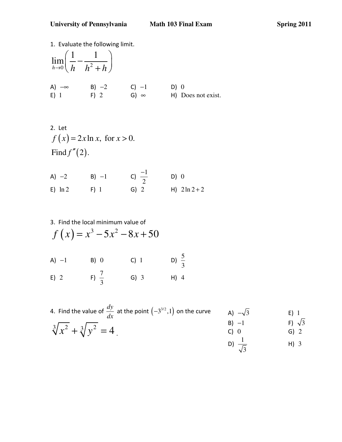University of Pennsylvania Math 103 Final Exam Spring 2011

1. Evaluate the following limit.  $\int_0^1 h h^2$  $\lim_{t \to 0} \left( \frac{1}{1} - \frac{1}{t^2} \right)$  $h\rightarrow 0$   $\left\langle h \right\rangle$   $h^2 + h$  $\left(\frac{1}{k} - \frac{1}{k^2 + k}\right)$  $\begin{pmatrix} h & h^2 + h \end{pmatrix}$ A)  $-\infty$  B)  $-2$  C)  $-1$  D) 0 E) 1 F) 2 G)  $\infty$  H) Does not exist.

2. Let  

$$
f(x) = 2x \ln x
$$
, for  $x > 0$ .  
Find  $f''(2)$ .

| A) $-2$    | $B) -1$ | c) $\frac{-1}{2}$ | D) 0             |
|------------|---------|-------------------|------------------|
| $E) \ln 2$ | $F)$ 1  | $G)$ 2            | H) $2 \ln 2 + 2$ |

3. Find the local minimum value of  
\n
$$
f(x) = x^3 - 5x^2 - 8x + 50
$$
  
\nA) -1 B) 0 C) 1 D)  $\frac{5}{3}$   
\nE) 2 F)  $\frac{7}{3}$  G) 3 H) 4

4. Find the value of 
$$
\frac{dy}{dx}
$$
 at the point  $(-3^{3/2}, 1)$  on the curve  
\n $\sqrt[3]{x^2 + \sqrt[3]{y^2}} = 4$   
\n  
\n5) -1  
\n6) -1  
\n7) 6) 2  
\n8) -1  
\n9) -1  
\n10)  $\frac{1}{\sqrt{3}}$   
\n11) 3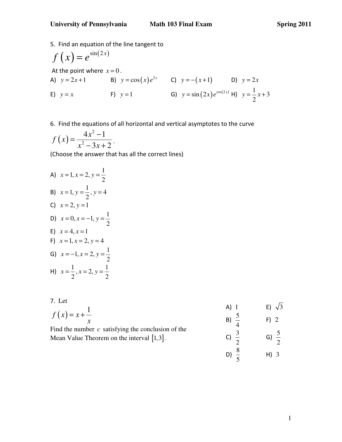5. Find an equation of the line tangent to

$$
f(x) = e^{\sin(2x)}
$$
  
\nAt the point where  $x = 0$ .  
\nA)  $y = 2x + 1$   
\nB)  $y = \cos(x)e^{2x}$   
\nC)  $y = -(x+1)$   
\nD)  $y = 2x$   
\nE)  $y = x$   
\nF)  $y = 1$   
\nG)  $y = \sin(2x)e^{\cos(2x)} + 1$   
\n $y = \frac{1}{2}x + 3$ 

## 6. Find the equations of all horizontal and vertical asymptotes to the curve

$$
f(x) = \frac{4x^2 - 1}{x^2 - 3x + 2}.
$$

(Choose the answer that has all the correct lines)

A)  $x = 1, x = 2, y = \frac{1}{2}$ 2  $x = 1, x = 2, y = \frac{1}{2}$ B)  $x = 1, y = \frac{1}{2}, y = 4$ 2  $x = 1, y = \frac{1}{2}, y = 4$ C)  $x = 2, y = 1$ D)  $x = 0, x = -1, y = \frac{1}{2}$ 2  $x = 0, x = -1, y = \frac{1}{2}$ E)  $x = 4, x = 1$ F)  $x = 1, x = 2, y = 4$ G)  $x = -1, x = 2, y = \frac{1}{2}$ 2  $x = -1, x = 2, y = \frac{1}{2}$ H)  $x = \frac{1}{2}$ ,  $x = 2$ ,  $y = \frac{1}{2}$  $2^{\prime}$  2  $x = \frac{1}{2}$ ,  $x = 2$ ,  $y =$ 

### 7. Let

| .                                                    |      |                |
|------------------------------------------------------|------|----------------|
|                                                      | A) I | $E$ ) $\gamma$ |
| $f(x) = x + \frac{1}{x}$                             |      |                |
|                                                      |      | $F$ ) 2        |
| Find the number $c$ satisfying the conclusion of the |      |                |
|                                                      |      |                |

Mean Value Theorem on the interval  $[1,3]$ .

| $A)$ 1           |                  | E) $\sqrt{3}$ |
|------------------|------------------|---------------|
| B) $\frac{5}{4}$ | $F)$ 2           |               |
| c) $\frac{3}{2}$ | G) $\frac{5}{2}$ |               |
| D) $\frac{8}{5}$ | $H)$ 3           |               |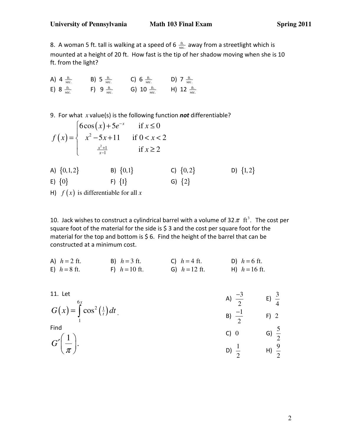8. A woman 5 ft. tall is walking at a speed of 6  $\frac{ft}{sec}$  away from a streetlight which is mounted at a height of 20 ft. How fast is the tip of her shadow moving when she is 10 ft. from the light?

A) 4  $\frac{ft.}{sec.}$  B) 5  $\frac{ft.}{sec.}$  C) 6  $\frac{ft.}{sec.}$  D) 7  $\frac{ft.}{sec.}$ E) 8  $\frac{ft.}{sec.}$  F) 9  $\frac{ft.}{sec.}$  G) 10  $\frac{ft.}{sec.}$  H) 12  $\frac{ft.}{sec.}$ 

9. For what *x* value(s) is the following function not differentiable?

$$
f(x) = \begin{cases} 6\cos(x) + 5e^{-x} & \text{if } x \le 0\\ x^2 - 5x + 11 & \text{if } 0 < x < 2\\ \frac{x^2 + 1}{x - 1} & \text{if } x \ge 2 \end{cases}
$$

- A)  $\{0,1,2\}$ <br>
B)  $\{0,1\}$ <br>
C)  $\{0,2\}$ <br>
D)  $\{1,2\}$ <br>
E)  $\{0\}$ <br>
F)  $\{1\}$ <br>
G)  $\{2\}$
- E)  $\{0\}$  F)  $\{1\}$
- H)  $f(x)$  is differentiable for all x

10. Jack wishes to construct a cylindrical barrel with a volume of 32  $\pi$  ft<sup>3</sup>. The cost per square foot of the material for the side is \$ 3 and the cost per square foot for the material for the top and bottom is \$ 6. Find the height of the barrel that can be constructed at a minimum cost.

| A) $h = 2$ ft. | B) $h = 3$ ft.  | C) $h = 4$ ft.          | D) $h = 6$ ft.     |
|----------------|-----------------|-------------------------|--------------------|
| E) $h = 8$ ft. | F) $h = 10$ ft. | <b>G</b> ) $h = 12$ ft. | $H$ ) $h = 16$ ft. |

| 11. Let                                         | A) $\frac{-3}{2}$ | E) $\frac{3}{4}$ |
|-------------------------------------------------|-------------------|------------------|
| $G(x) = \int_{0}^{6x} \cos^2(\frac{1}{t}) dt$ . | B) $\frac{-1}{2}$ | $F)$ 2           |
| Find                                            | C) 0              | G) $\frac{5}{2}$ |
| $G\left(\frac{1}{\pi}\right).$                  | D)                | H) $\frac{9}{2}$ |